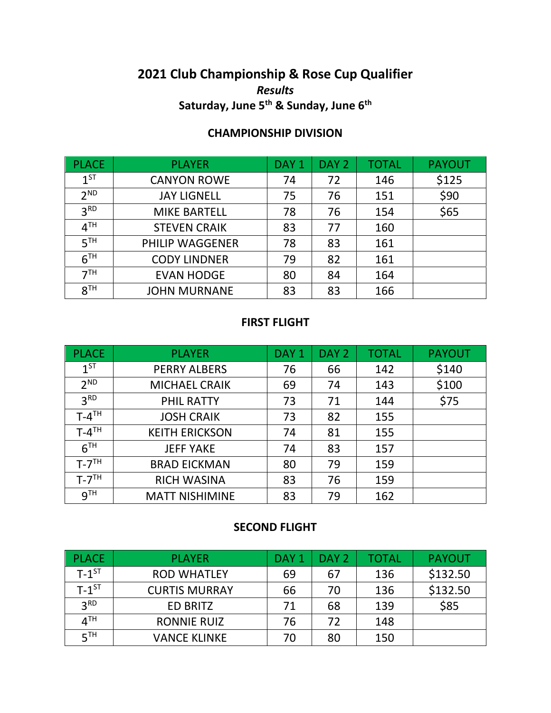# **2021 Club Championship & Rose Cup Qualifier** *Results* **Saturday, June 5th & Sunday, June 6th**

## **CHAMPIONSHIP DIVISION**

| <b>PLACE</b>    | <b>PLAYER</b>          | DAY <sub>1</sub> | DAY <sub>2</sub> | <b>TOTAL</b> | <b>PAYOUT</b> |
|-----------------|------------------------|------------------|------------------|--------------|---------------|
| $1^{ST}$        | <b>CANYON ROWE</b>     | 74               | 72               | 146          | \$125         |
| 2 <sub>ND</sub> | <b>JAY LIGNELL</b>     | 75               | 76               | 151          | \$90          |
| 3 <sup>RD</sup> | <b>MIKE BARTELL</b>    | 78               | 76               | 154          | \$65          |
| 4 <sup>TH</sup> | <b>STEVEN CRAIK</b>    | 83               | 77               | 160          |               |
| 5 <sup>TH</sup> | <b>PHILIP WAGGENER</b> | 78               | 83               | 161          |               |
| 6 <sup>TH</sup> | <b>CODY LINDNER</b>    | 79               | 82               | 161          |               |
| 7 <sup>TH</sup> | <b>EVAN HODGE</b>      | 80               | 84               | 164          |               |
| 8 <sup>TH</sup> | <b>JOHN MURNANE</b>    | 83               | 83               | 166          |               |

#### **FIRST FLIGHT**

| <b>PLACE</b>          | <b>PLAYER</b>         | DAY <sub>1</sub> | DAY <sub>2</sub> | <b>TOTAL</b> | <b>PAYOUT</b> |
|-----------------------|-----------------------|------------------|------------------|--------------|---------------|
| $1^{ST}$              | <b>PERRY ALBERS</b>   | 76               | 66               | 142          | \$140         |
| 2 <sup>ND</sup>       | <b>MICHAEL CRAIK</b>  | 69               | 74               | 143          | \$100         |
| 3 <sup>RD</sup>       | <b>PHIL RATTY</b>     | 73               | 71               | 144          | \$75          |
| $T - 4$ <sup>TH</sup> | <b>JOSH CRAIK</b>     | 73               | 82               | 155          |               |
| $T - 4$ <sup>TH</sup> | <b>KEITH ERICKSON</b> | 74               | 81               | 155          |               |
| 6 <sup>TH</sup>       | <b>JEFF YAKE</b>      | 74               | 83               | 157          |               |
| $T - 7TH$             | <b>BRAD EICKMAN</b>   | 80               | 79               | 159          |               |
| $T - 7TH$             | <b>RICH WASINA</b>    | 83               | 76               | 159          |               |
| 9 <sup>TH</sup>       | <b>MATT NISHIMINE</b> | 83               | 79               | 162          |               |

### **SECOND FLIGHT**

| <b>PLACE</b>        | <b>PLAYER</b>        | DAY <sub>1</sub> | DAY <sub>2</sub> | TOTAL | <b>PAYOUT</b> |
|---------------------|----------------------|------------------|------------------|-------|---------------|
| $T-1$ <sup>ST</sup> | <b>ROD WHATLEY</b>   | 69               | 67               | 136   | \$132.50      |
| $T-1$ <sup>ST</sup> | <b>CURTIS MURRAY</b> | 66               | 70               | 136   | \$132.50      |
| 2 <sub>RD</sub>     | <b>ED BRITZ</b>      | 71               | 68               | 139   | \$85          |
| 4 <sup>TH</sup>     | <b>RONNIE RUIZ</b>   | 76               | 72               | 148   |               |
| 5 <sup>TH</sup>     | <b>VANCE KLINKE</b>  | 70               | 80               | 150   |               |